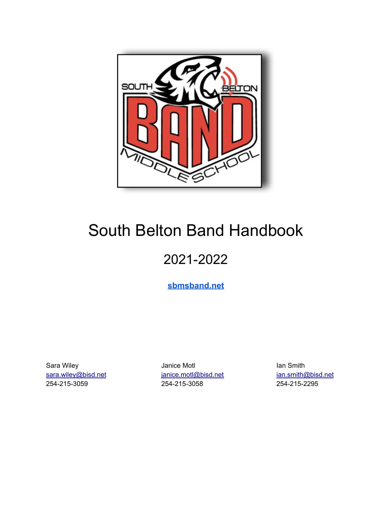

# South Belton Band Handbook

# 2021-2022

**[sbmsband.net](http://sbmsband.net)**

Sara Wiley **Ian Smith** Janice Motl **Ian Smith** Ian Smith sara.wiley@bisd.net ianice.motl@bisd.net ian.smith@bisd.net 254-215-3059 254-215-3058 254-215-2295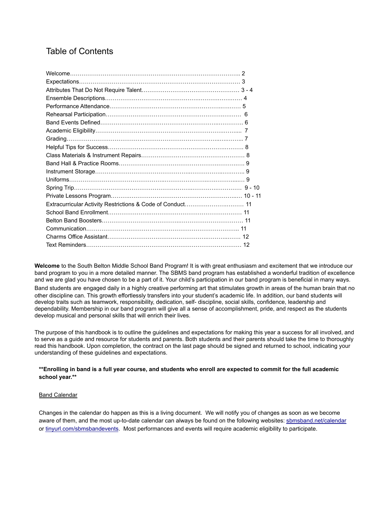# Table of Contents

**Welcome** to the South Belton Middle School Band Program! It is with great enthusiasm and excitement that we introduce our band program to you in a more detailed manner. The SBMS band program has established a wonderful tradition of excellence and we are glad you have chosen to be a part of it. Your child's participation in our band program is beneficial in many ways. Band students are engaged daily in a highly creative performing art that stimulates growth in areas of the human brain that no other discipline can. This growth effortlessly transfers into your student's academic life. In addition, our band students will develop traits such as teamwork, responsibility, dedication, self- discipline, social skills, confidence, leadership and dependability. Membership in our band program will give all a sense of accomplishment, pride, and respect as the students develop musical and personal skills that will enrich their lives.

The purpose of this handbook is to outline the guidelines and expectations for making this year a success for all involved, and to serve as a guide and resource for students and parents. Both students and their parents should take the time to thoroughly read this handbook. Upon completion, the contract on the last page should be signed and returned to school, indicating your understanding of these guidelines and expectations.

#### **\*\*Enrolling in band is a full year course, and students who enroll are expected to commit for the full academic school year.\*\***

#### Band Calendar

Changes in the calendar do happen as this is a living document. We will notify you of changes as soon as we become aware of them, and the most up-to-date calendar can always be found on the following websites: [sbmsband.net/calendar](http://sbmsband.net/calendar) or [tinyurl.com/sbmsbandevents](http://tinyurl.com/sbmsbandevents). Most performances and events will require academic eligibility to participate.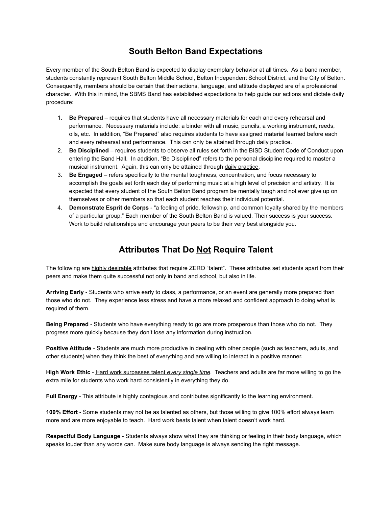### **South Belton Band Expectations**

Every member of the South Belton Band is expected to display exemplary behavior at all times. As a band member, students constantly represent South Belton Middle School, Belton Independent School District, and the City of Belton. Consequently, members should be certain that their actions, language, and attitude displayed are of a professional character. With this in mind, the SBMS Band has established expectations to help guide our actions and dictate daily procedure:

- 1. **Be Prepared** requires that students have all necessary materials for each and every rehearsal and performance. Necessary materials include: a binder with all music, pencils, a working instrument, reeds, oils, etc. In addition, "Be Prepared" also requires students to have assigned material learned before each and every rehearsal and performance. This can only be attained through daily practice.
- 2. **Be Disciplined** requires students to observe all rules set forth in the BISD Student Code of Conduct upon entering the Band Hall. In addition, "Be Disciplined" refers to the personal discipline required to master a musical instrument. Again, this can only be attained through daily practice.
- 3. **Be Engaged** refers specifically to the mental toughness, concentration, and focus necessary to accomplish the goals set forth each day of performing music at a high level of precision and artistry. It is expected that every student of the South Belton Band program be mentally tough and not ever give up on themselves or other members so that each student reaches their individual potential.
- 4. **Demonstrate Esprit de Corps** "a feeling of pride, fellowship, and common loyalty shared by the members of a particular group." Each member of the South Belton Band is valued. Their success is your success. Work to build relationships and encourage your peers to be their very best alongside you.

## **Attributes That Do Not Require Talent**

The following are highly desirable attributes that require ZERO "talent". These attributes set students apart from their peers and make them quite successful not only in band and school, but also in life.

**Arriving Early** - Students who arrive early to class, a performance, or an event are generally more prepared than those who do not. They experience less stress and have a more relaxed and confident approach to doing what is required of them.

**Being Prepared** - Students who have everything ready to go are more prosperous than those who do not. They progress more quickly because they don't lose any information during instruction.

**Positive Attitude** - Students are much more productive in dealing with other people (such as teachers, adults, and other students) when they think the best of everything and are willing to interact in a positive manner.

High Work Ethic - Hard work surpasses talent *every single time*. Teachers and adults are far more willing to go the extra mile for students who work hard consistently in everything they do.

**Full Energy** - This attribute is highly contagious and contributes significantly to the learning environment.

**100% Effort** - Some students may not be as talented as others, but those willing to give 100% effort always learn more and are more enjoyable to teach. Hard work beats talent when talent doesn't work hard.

**Respectful Body Language** - Students always show what they are thinking or feeling in their body language, which speaks louder than any words can. Make sure body language is always sending the right message.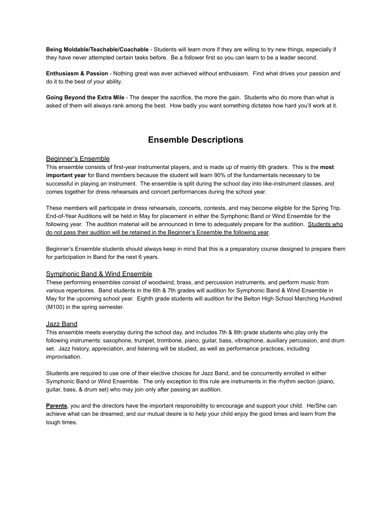**Being Moldable/Teachable/Coachable** - Students will learn more if they are willing to try new things, especially if they have never attempted certain tasks before. Be a follower first so you can learn to be a leader second.

**Enthusiasm & Passion** - Nothing great was ever achieved without enthusiasm. Find what drives your passion and do it to the best of your ability.

**Going Beyond the Extra Mile** - The deeper the sacrifice, the more the gain. Students who do more than what is asked of them will always rank among the best. How badly you want something dictates how hard you'll work at it.

### **Ensemble Descriptions**

#### Beginner's Ensemble

This ensemble consists of first-year instrumental players, and is made up of mainly 6th graders. This is the **most important year** for Band members because the student will learn 90% of the fundamentals necessary to be successful in playing an instrument. The ensemble is split during the school day into like-instrument classes, and comes together for dress rehearsals and concert performances during the school year.

These members will participate in dress rehearsals, concerts, contests, and may become eligible for the Spring Trip. End-of-Year Auditions will be held in May for placement in either the Symphonic Band or Wind Ensemble for the following year. The audition material will be announced in time to adequately prepare for the audition. Students who do not pass their audition will be retained in the Beginner's Ensemble the following year.

Beginner's Ensemble students should always keep in mind that this is a preparatory course designed to prepare them for participation in Band for the next 6 years.

#### Symphonic Band & Wind Ensemble

These performing ensembles consist of woodwind, brass, and percussion instruments, and perform music from various repertoires. Band students in the 6th & 7th grades will audition for Symphonic Band & Wind Ensemble in May for the upcoming school year. Eighth grade students will audition for the Belton High School Marching Hundred (M100) in the spring semester.

#### Jazz Band

This ensemble meets everyday during the school day, and includes 7th & 8th grade students who play only the following instruments: saxophone, trumpet, trombone, piano, guitar, bass, vibraphone, auxiliary percussion, and drum set. Jazz history, appreciation, and listening will be studied, as well as performance practices, including improvisation.

Students are required to use one of their elective choices for Jazz Band, and be concurrently enrolled in either Symphonic Band or Wind Ensemble. The only exception to this rule are instruments in the rhythm section (piano, guitar, bass, & drum set) who may join only after passing an audition.

**Parents**, you and the directors have the important responsibility to encourage and support your child. He/She can achieve what can be dreamed, and our mutual desire is to help your child enjoy the good times and learn from the tough times.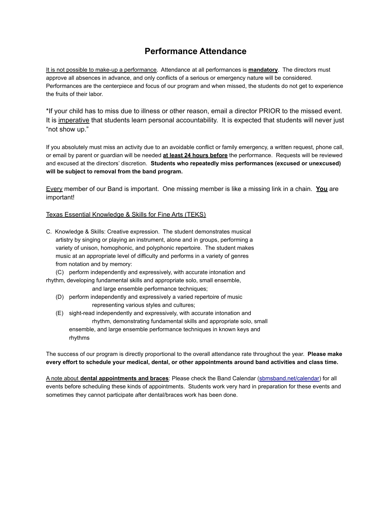### **Performance Attendance**

It is not possible to make-up a performance. Attendance at all performances is **mandatory**. The directors must approve all absences in advance, and only conflicts of a serious or emergency nature will be considered. Performances are the centerpiece and focus of our program and when missed, the students do not get to experience the fruits of their labor.

\*If your child has to miss due to illness or other reason, email a director PRIOR to the missed event. It is imperative that students learn personal accountability. It is expected that students will never just "not show up."

If you absolutely must miss an activity due to an avoidable conflict or family emergency, a written request, phone call, or email by parent or guardian will be needed **at least 24 hours before** the performance. Requests will be reviewed and excused at the directors' discretion. **Students who repeatedly miss performances (excused or unexcused) will be subject to removal from the band program.**

Every member of our Band is important. One missing member is like a missing link in a chain. **You** are important!

#### Texas Essential Knowledge & Skills for Fine Arts (TEKS)

- C. Knowledge & Skills: Creative expression. The student demonstrates musical artistry by singing or playing an instrument, alone and in groups, performing a variety of unison, homophonic, and polyphonic repertoire. The student makes music at an appropriate level of difficulty and performs in a variety of genres from notation and by memory:
	- (C) perform independently and expressively, with accurate intonation and

rhythm, developing fundamental skills and appropriate solo, small ensemble,

and large ensemble performance techniques; (D) perform independently and expressively a varied repertoire of music

representing various styles and cultures;

(E) sight-read independently and expressively, with accurate intonation and rhythm, demonstrating fundamental skills and appropriate solo, small ensemble, and large ensemble performance techniques in known keys and rhythms

The success of our program is directly proportional to the overall attendance rate throughout the year. **Please make every effort to schedule your medical, dental, or other appointments around band activities and class time.**

A note about **dental appointments and braces**: Please check the Band Calendar [\(sbmsband.net/calendar\)](http://sbmsband.net/calendar) for all events before scheduling these kinds of appointments. Students work very hard in preparation for these events and sometimes they cannot participate after dental/braces work has been done.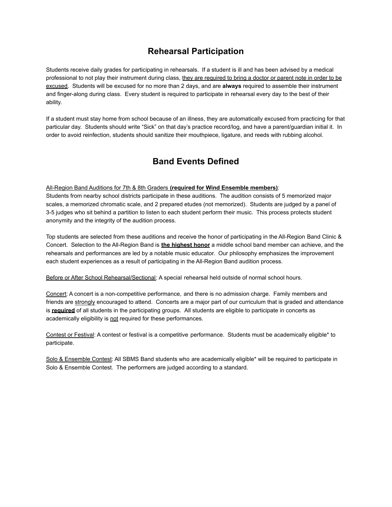### **Rehearsal Participation**

Students receive daily grades for participating in rehearsals. If a student is ill and has been advised by a medical professional to not play their instrument during class, they are required to bring a doctor or parent note in order to be excused. Students will be excused for no more than 2 days, and are **always** required to assemble their instrument and finger-along during class. Every student is required to participate in rehearsal every day to the best of their ability.

If a student must stay home from school because of an illness, they are automatically excused from practicing for that particular day. Students should write "Sick" on that day's practice record/log, and have a parent/guardian initial it. In order to avoid reinfection, students should sanitize their mouthpiece, ligature, and reeds with rubbing alcohol.

# **Band Events Defined**

#### All-Region Band Auditions for 7th & 8th Graders **(required for Wind Ensemble members)**:

Students from nearby school districts participate in these auditions. The audition consists of 5 memorized major scales, a memorized chromatic scale, and 2 prepared etudes (not memorized). Students are judged by a panel of 3-5 judges who sit behind a partition to listen to each student perform their music. This process protects student anonymity and the integrity of the audition process.

Top students are selected from these auditions and receive the honor of participating in the All-Region Band Clinic & Concert. Selection to the All-Region Band is **the highest honor** a middle school band member can achieve, and the rehearsals and performances are led by a notable music educator. Our philosophy emphasizes the improvement each student experiences as a result of participating in the All-Region Band audition process.

Before or After School Rehearsal/Sectional: A special rehearsal held outside of normal school hours.

Concert: A concert is a non-competitive performance, and there is no admission charge. Family members and friends are strongly encouraged to attend. Concerts are a major part of our curriculum that is graded and attendance is **required** of all students in the participating groups. All students are eligible to participate in concerts as academically eligibility is not required for these performances.

Contest or Festival: A contest or festival is a competitive performance. Students must be academically eligible\* to participate.

Solo & Ensemble Contest: All SBMS Band students who are academically eligible\* will be required to participate in Solo & Ensemble Contest. The performers are judged according to a standard.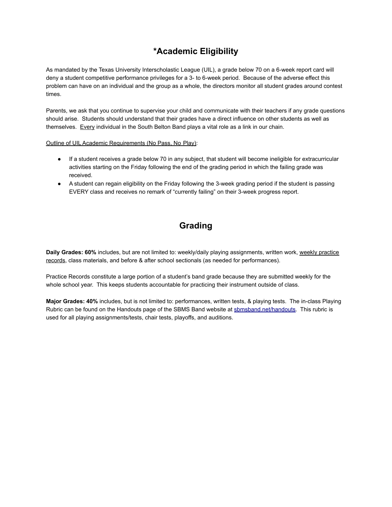# **\*Academic Eligibility**

As mandated by the Texas University Interscholastic League (UIL), a grade below 70 on a 6-week report card will deny a student competitive performance privileges for a 3- to 6-week period. Because of the adverse effect this problem can have on an individual and the group as a whole, the directors monitor all student grades around contest times.

Parents, we ask that you continue to supervise your child and communicate with their teachers if any grade questions should arise. Students should understand that their grades have a direct influence on other students as well as themselves. Every individual in the South Belton Band plays a vital role as a link in our chain.

Outline of UIL Academic Requirements (No Pass, No Play):

- If a student receives a grade below 70 in any subject, that student will become ineligible for extracurricular activities starting on the Friday following the end of the grading period in which the failing grade was received.
- A student can regain eligibility on the Friday following the 3-week grading period if the student is passing EVERY class and receives no remark of "currently failing" on their 3-week progress report.

# **Grading**

**Daily Grades: 60%** includes, but are not limited to: weekly/daily playing assignments, written work, weekly practice records, class materials, and before & after school sectionals (as needed for performances).

Practice Records constitute a large portion of a student's band grade because they are submitted weekly for the whole school year. This keeps students accountable for practicing their instrument outside of class.

**Major Grades: 40%** includes, but is not limited to: performances, written tests, & playing tests. The in-class Playing Rubric can be found on the Handouts page of the SBMS Band website at [sbmsband.net/handouts.](http://sbmsband.net/handouts) This rubric is used for all playing assignments/tests, chair tests, playoffs, and auditions.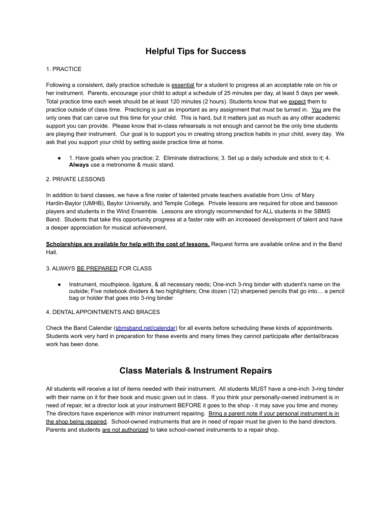### **Helpful Tips for Success**

#### 1. PRACTICE

Following a consistent, daily practice schedule is essential for a student to progress at an acceptable rate on his or her instrument. Parents, encourage your child to adopt a schedule of 25 minutes per day, at least 5 days per week. Total practice time each week should be at least 120 minutes (2 hours). Students know that we expect them to practice outside of class time. Practicing is just as important as any assignment that must be turned in. You are the only ones that can carve out this time for your child. This is hard, but it matters just as much as any other academic support you can provide. Please know that in-class rehearsals is not enough and cannot be the only time students are playing their instrument. Our goal is to support you in creating strong practice habits in your child, every day. We ask that you support your child by setting aside practice time at home.

● 1. Have goals when you practice; 2. Eliminate distractions; 3. Set up a daily schedule and stick to it; 4. **Always** use a metronome & music stand.

#### 2. PRIVATE LESSONS

In addition to band classes, we have a fine roster of talented private teachers available from Univ. of Mary Hardin-Baylor (UMHB), Baylor University, and Temple College. Private lessons are required for oboe and bassoon players and students in the Wind Ensemble. Lessons are strongly recommended for ALL students in the SBMS Band. Students that take this opportunity progress at a faster rate with an increased development of talent and have a deeper appreciation for musical achievement.

**Scholarships are available for help with the cost of lessons.** Request forms are available online and in the Band Hall.

#### 3. ALWAYS BE PREPARED FOR CLASS

● Instrument, mouthpiece, ligature, & all necessary reeds; One-inch 3-ring binder with student's name on the outside; Five notebook dividers & two highlighters; One dozen (12) sharpened pencils that go into… a pencil bag or holder that goes into 3-ring binder

#### 4. DENTAL APPOINTMENTS AND BRACES

Check the Band Calendar ([sbmsband.net/calendar](http://sbmsband.net/calendar)) for all events before scheduling these kinds of appointments. Students work very hard in preparation for these events and many times they cannot participate after dental/braces work has been done.

### **Class Materials & Instrument Repairs**

All students will receive a list of items needed with their instrument. All students MUST have a one-inch 3-ring binder with their name on it for their book and music given out in class. If you think your personally-owned instrument is in need of repair, let a director look at your instrument BEFORE it goes to the shop - it may save you time and money. The directors have experience with minor instrument repairing. Bring a parent note if your personal instrument is in the shop being repaired. School-owned instruments that are in need of repair must be given to the band directors. Parents and students are not authorized to take school-owned instruments to a repair shop.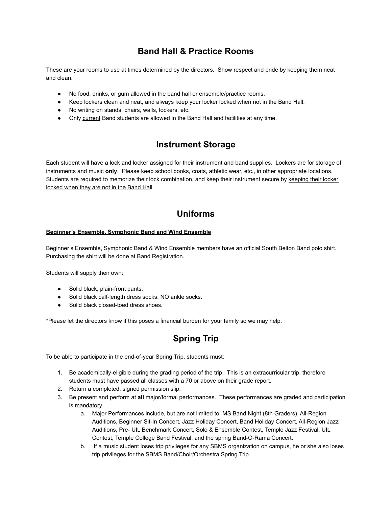## **Band Hall & Practice Rooms**

These are your rooms to use at times determined by the directors. Show respect and pride by keeping them neat and clean:

- No food, drinks, or gum allowed in the band hall or ensemble/practice rooms.
- Keep lockers clean and neat, and always keep your locker locked when not in the Band Hall.
- No writing on stands, chairs, walls, lockers, etc.
- Only current Band students are allowed in the Band Hall and facilities at any time.

# **Instrument Storage**

Each student will have a lock and locker assigned for their instrument and band supplies. Lockers are for storage of instruments and music **only**. Please keep school books, coats, athletic wear, etc., in other appropriate locations. Students are required to memorize their lock combination, and keep their instrument secure by keeping their locker locked when they are not in the Band Hall.

# **Uniforms**

#### **Beginner's Ensemble, Symphonic Band and Wind Ensemble**

Beginner's Ensemble, Symphonic Band & Wind Ensemble members have an official South Belton Band polo shirt. Purchasing the shirt will be done at Band Registration.

Students will supply their own:

- Solid black, plain-front pants.
- Solid black calf-length dress socks. NO ankle socks.
- Solid black closed-toed dress shoes.

\*Please let the directors know if this poses a financial burden for your family so we may help.

# **Spring Trip**

To be able to participate in the end-of-year Spring Trip, students must:

- 1. Be academically-eligible during the grading period of the trip. This is an extracurricular trip, therefore students must have passed all classes with a 70 or above on their grade report.
- 2. Return a completed, signed permission slip.
- 3. Be present and perform at **all** major/formal performances. These performances are graded and participation is mandatory.
	- a. Major Performances include, but are not limited to: MS Band Night (8th Graders), All-Region Auditions, Beginner Sit-In Concert, Jazz Holiday Concert, Band Holiday Concert, All-Region Jazz Auditions, Pre- UIL Benchmark Concert, Solo & Ensemble Contest, Temple Jazz Festival, UIL Contest, Temple College Band Festival, and the spring Band-O-Rama Concert.
	- b. If a music student loses trip privileges for any SBMS organization on campus, he or she also loses trip privileges for the SBMS Band/Choir/Orchestra Spring Trip.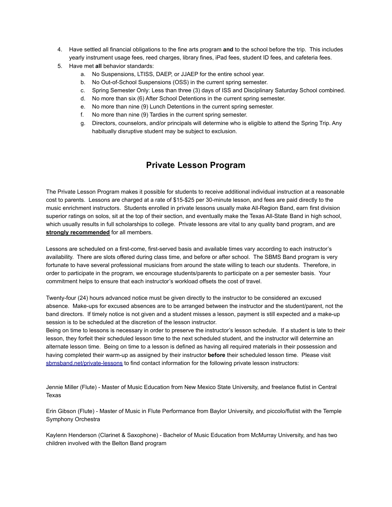- 4. Have settled all financial obligations to the fine arts program **and** to the school before the trip. This includes yearly instrument usage fees, reed charges, library fines, iPad fees, student ID fees, and cafeteria fees.
- 5. Have met **all** behavior standards:
	- a. No Suspensions, LTISS, DAEP, or JJAEP for the entire school year.
	- b. No Out-of-School Suspensions (OSS) in the current spring semester.
	- c. Spring Semester Only: Less than three (3) days of ISS and Disciplinary Saturday School combined.
	- d. No more than six (6) After School Detentions in the current spring semester.
	- e. No more than nine (9) Lunch Detentions in the current spring semester.
	- f. No more than nine (9) Tardies in the current spring semester.
	- g. Directors, counselors, and/or principals will determine who is eligible to attend the Spring Trip. Any habitually disruptive student may be subject to exclusion.

### **Private Lesson Program**

The Private Lesson Program makes it possible for students to receive additional individual instruction at a reasonable cost to parents. Lessons are charged at a rate of \$15-\$25 per 30-minute lesson, and fees are paid directly to the music enrichment instructors. Students enrolled in private lessons usually make All-Region Band, earn first division superior ratings on solos, sit at the top of their section, and eventually make the Texas All-State Band in high school, which usually results in full scholarships to college. Private lessons are vital to any quality band program, and are **strongly recommended** for all members.

Lessons are scheduled on a first-come, first-served basis and available times vary according to each instructor's availability. There are slots offered during class time, and before or after school. The SBMS Band program is very fortunate to have several professional musicians from around the state willing to teach our students. Therefore, in order to participate in the program, we encourage students/parents to participate on a per semester basis. Your commitment helps to ensure that each instructor's workload offsets the cost of travel.

Twenty-four (24) hours advanced notice must be given directly to the instructor to be considered an excused absence. Make-ups for excused absences are to be arranged between the instructor and the student/parent, not the band directors. If timely notice is not given and a student misses a lesson, payment is still expected and a make-up session is to be scheduled at the discretion of the lesson instructor.

Being on time to lessons is necessary in order to preserve the instructor's lesson schedule. If a student is late to their lesson, they forfeit their scheduled lesson time to the next scheduled student, and the instructor will determine an alternate lesson time. Being on time to a lesson is defined as having all required materials in their possession and having completed their warm-up as assigned by their instructor **before** their scheduled lesson time. Please visit [sbmsband.net/private-lessons](http://sbmsband.net/private-lessons) to find contact information for the following private lesson instructors:

Jennie Miller (Flute) - Master of Music Education from New Mexico State University, and freelance flutist in Central Texas

Erin Gibson (Flute) - Master of Music in Flute Performance from Baylor University, and piccolo/flutist with the Temple Symphony Orchestra

Kaylenn Henderson (Clarinet & Saxophone) - Bachelor of Music Education from McMurray University, and has two children involved with the Belton Band program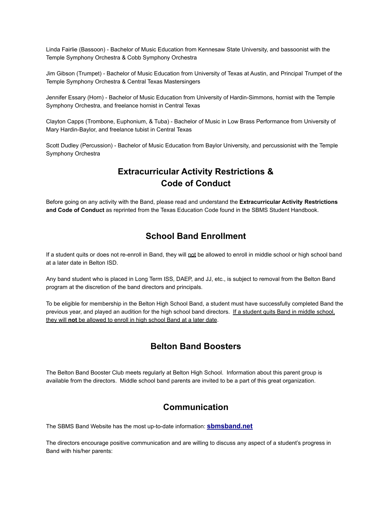Linda Fairlie (Bassoon) - Bachelor of Music Education from Kennesaw State University, and bassoonist with the Temple Symphony Orchestra & Cobb Symphony Orchestra

Jim Gibson (Trumpet) - Bachelor of Music Education from University of Texas at Austin, and Principal Trumpet of the Temple Symphony Orchestra & Central Texas Mastersingers

Jennifer Essary (Horn) - Bachelor of Music Education from University of Hardin-Simmons, hornist with the Temple Symphony Orchestra, and freelance hornist in Central Texas

Clayton Capps (Trombone, Euphonium, & Tuba) - Bachelor of Music in Low Brass Performance from University of Mary Hardin-Baylor, and freelance tubist in Central Texas

Scott Dudley (Percussion) - Bachelor of Music Education from Baylor University, and percussionist with the Temple Symphony Orchestra

# **Extracurricular Activity Restrictions & Code of Conduct**

Before going on any activity with the Band, please read and understand the **Extracurricular Activity Restrictions and Code of Conduct** as reprinted from the Texas Education Code found in the SBMS Student Handbook.

### **School Band Enrollment**

If a student quits or does not re-enroll in Band, they will not be allowed to enroll in middle school or high school band at a later date in Belton ISD.

Any band student who is placed in Long Term ISS, DAEP, and JJ, etc., is subject to removal from the Belton Band program at the discretion of the band directors and principals.

To be eligible for membership in the Belton High School Band, a student must have successfully completed Band the previous year, and played an audition for the high school band directors. If a student quits Band in middle school, they will **not** be allowed to enroll in high school Band at a later date.

# **Belton Band Boosters**

The Belton Band Booster Club meets regularly at Belton High School. Information about this parent group is available from the directors. Middle school band parents are invited to be a part of this great organization.

### **Communication**

The SBMS Band Website has the most up-to-date information: **[sbmsband.net](http://sbmsband.net)**

The directors encourage positive communication and are willing to discuss any aspect of a student's progress in Band with his/her parents: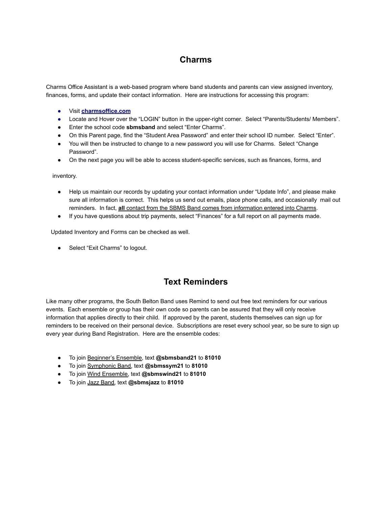# **Charms**

Charms Office Assistant is a web-based program where band students and parents can view assigned inventory, finances, forms, and update their contact information. Here are instructions for accessing this program:

- Visit **[charmsoffice.com](http://charmsoffice.com)**
- Locate and Hover over the "LOGIN" button in the upper-right corner. Select "Parents/Students/ Members".
- Enter the school code **sbmsband** and select "Enter Charms".
- On this Parent page, find the "Student Area Password" and enter their school ID number. Select "Enter".
- You will then be instructed to change to a new password you will use for Charms. Select "Change Password".
- On the next page you will be able to access student-specific services, such as finances, forms, and

inventory.

- Help us maintain our records by updating your contact information under "Update Info", and please make sure all information is correct. This helps us send out emails, place phone calls, and occasionally mail out reminders. In fact, **all** contact from the SBMS Band comes from information entered into Charms.
- If you have questions about trip payments, select "Finances" for a full report on all payments made.

Updated Inventory and Forms can be checked as well.

● Select "Exit Charms" to logout.

### **Text Reminders**

Like many other programs, the South Belton Band uses Remind to send out free text reminders for our various events. Each ensemble or group has their own code so parents can be assured that they will only receive information that applies directly to their child. If approved by the parent, students themselves can sign up for reminders to be received on their personal device. Subscriptions are reset every school year, so be sure to sign up every year during Band Registration. Here are the ensemble codes:

- To join Beginner's Ensemble, text **@sbmsband21** to **81010**
- To join Symphonic Band, text **@sbmssym21** to **81010**
- To join Wind Ensemble, text **@sbmswind21** to **81010**
- To join Jazz Band, text **@sbmsjazz** to **81010**